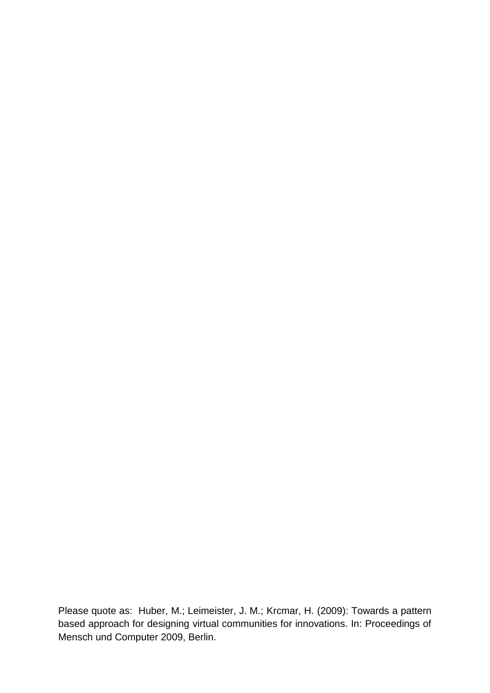Please quote as: Huber, M.; Leimeister, J. M.; Krcmar, H. (2009): Towards a pattern based approach for designing virtual communities for innovations. In: Proceedings of Mensch und Computer 2009, Berlin.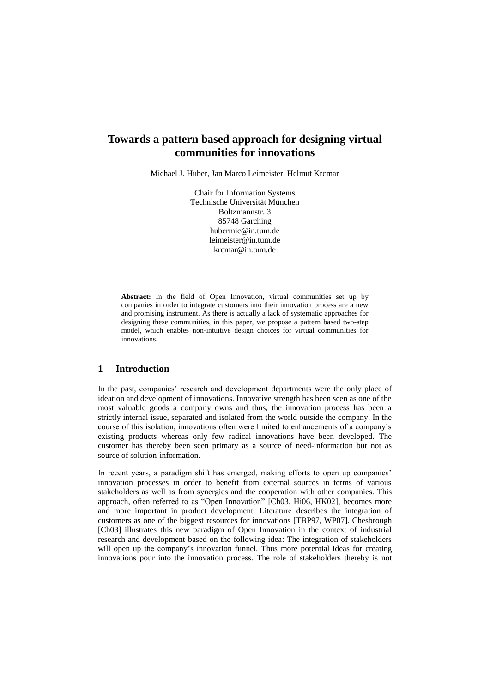# **Towards a pattern based approach for designing virtual communities for innovations**

Michael J. Huber, Jan Marco Leimeister, Helmut Krcmar

Chair for Information Systems Technische Universität München Boltzmannstr. 3 85748 Garching hubermic@in.tum.de leimeister@in.tum.de krcmar@in.tum.de

**Abstract:** In the field of Open Innovation, virtual communities set up by companies in order to integrate customers into their innovation process are a new and promising instrument. As there is actually a lack of systematic approaches for designing these communities, in this paper, we propose a pattern based two-step model, which enables non-intuitive design choices for virtual communities for innovations.

# **1 Introduction**

In the past, companies' research and development departments were the only place of ideation and development of innovations. Innovative strength has been seen as one of the most valuable goods a company owns and thus, the innovation process has been a strictly internal issue, separated and isolated from the world outside the company. In the course of this isolation, innovations often were limited to enhancements of a company's existing products whereas only few radical innovations have been developed. The customer has thereby been seen primary as a source of need-information but not as source of solution-information.

In recent years, a paradigm shift has emerged, making efforts to open up companies' innovation processes in order to benefit from external sources in terms of various stakeholders as well as from synergies and the cooperation with other companies. This approach, often referred to as "Open Innovation" [Ch03, Hi06, HK02], becomes more and more important in product development. Literature describes the integration of customers as one of the biggest resources for innovations [TBP97, WP07]. Chesbrough [Ch03] illustrates this new paradigm of Open Innovation in the context of industrial research and development based on the following idea: The integration of stakeholders will open up the company's innovation funnel. Thus more potential ideas for creating innovations pour into the innovation process. The role of stakeholders thereby is not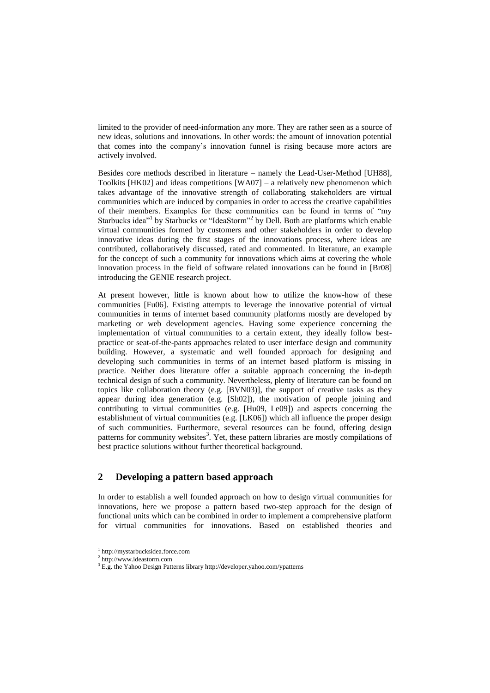limited to the provider of need-information any more. They are rather seen as a source of new ideas, solutions and innovations. In other words: the amount of innovation potential that comes into the company's innovation funnel is rising because more actors are actively involved.

Besides core methods described in literature – namely the Lead-User-Method [UH88], Toolkits  $[HK02]$  and ideas competitions  $[WA07]$  – a relatively new phenomenon which takes advantage of the innovative strength of collaborating stakeholders are virtual communities which are induced by companies in order to access the creative capabilities of their members. Examples for these communities can be found in terms of "my Starbucks idea<sup>"1</sup> by Starbucks or "IdeaStorm"<sup>2</sup> by Dell. Both are platforms which enable virtual communities formed by customers and other stakeholders in order to develop innovative ideas during the first stages of the innovations process, where ideas are contributed, collaboratively discussed, rated and commented. In literature, an example for the concept of such a community for innovations which aims at covering the whole innovation process in the field of software related innovations can be found in [Br08] introducing the GENIE research project.

At present however, little is known about how to utilize the know-how of these communities [Fu06]. Existing attempts to leverage the innovative potential of virtual communities in terms of internet based community platforms mostly are developed by marketing or web development agencies. Having some experience concerning the implementation of virtual communities to a certain extent, they ideally follow bestpractice or seat-of-the-pants approaches related to user interface design and community building. However, a systematic and well founded approach for designing and developing such communities in terms of an internet based platform is missing in practice. Neither does literature offer a suitable approach concerning the in-depth technical design of such a community. Nevertheless, plenty of literature can be found on topics like collaboration theory (e.g. [BVN03)], the support of creative tasks as they appear during idea generation (e.g. [Sh02]), the motivation of people joining and contributing to virtual communities (e.g. [Hu09, Le09]) and aspects concerning the establishment of virtual communities (e.g. [LK06]) which all influence the proper design of such communities. Furthermore, several resources can be found, offering design patterns for community websites<sup>3</sup>. Yet, these pattern libraries are mostly compilations of best practice solutions without further theoretical background.

# **2 Developing a pattern based approach**

In order to establish a well founded approach on how to design virtual communities for innovations, here we propose a pattern based two-step approach for the design of functional units which can be combined in order to implement a comprehensive platform for virtual communities for innovations. Based on established theories and

 $\overline{a}$ 

<sup>1</sup> http://mystarbucksidea.force.com

<sup>2</sup> http://www.ideastorm.com

<sup>&</sup>lt;sup>3</sup> E.g. the Yahoo Design Patterns library http://developer.yahoo.com/ypatterns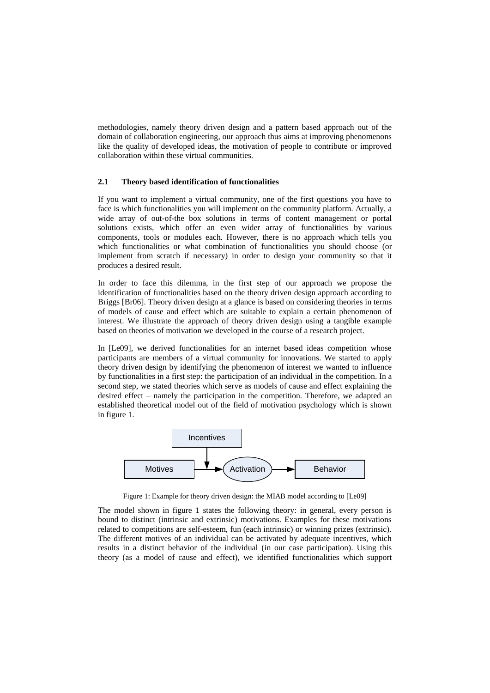methodologies, namely theory driven design and a pattern based approach out of the domain of collaboration engineering, our approach thus aims at improving phenomenons like the quality of developed ideas, the motivation of people to contribute or improved collaboration within these virtual communities.

#### **2.1 Theory based identification of functionalities**

If you want to implement a virtual community, one of the first questions you have to face is which functionalities you will implement on the community platform. Actually, a wide array of out-of-the box solutions in terms of content management or portal solutions exists, which offer an even wider array of functionalities by various components, tools or modules each. However, there is no approach which tells you which functionalities or what combination of functionalities you should choose (or implement from scratch if necessary) in order to design your community so that it produces a desired result.

In order to face this dilemma, in the first step of our approach we propose the identification of functionalities based on the theory driven design approach according to Briggs [Br06]. Theory driven design at a glance is based on considering theories in terms of models of cause and effect which are suitable to explain a certain phenomenon of interest. We illustrate the approach of theory driven design using a tangible example based on theories of motivation we developed in the course of a research project.

In [Le09], we derived functionalities for an internet based ideas competition whose participants are members of a virtual community for innovations. We started to apply theory driven design by identifying the phenomenon of interest we wanted to influence by functionalities in a first step: the participation of an individual in the competition. In a second step, we stated theories which serve as models of cause and effect explaining the desired effect – namely the participation in the competition. Therefore, we adapted an established theoretical model out of the field of motivation psychology which is shown in figure 1.



Figure 1: Example for theory driven design: the MIAB model according to [Le09]

The model shown in figure 1 states the following theory: in general, every person is bound to distinct (intrinsic and extrinsic) motivations. Examples for these motivations related to competitions are self-esteem, fun (each intrinsic) or winning prizes (extrinsic). The different motives of an individual can be activated by adequate incentives, which results in a distinct behavior of the individual (in our case participation). Using this theory (as a model of cause and effect), we identified functionalities which support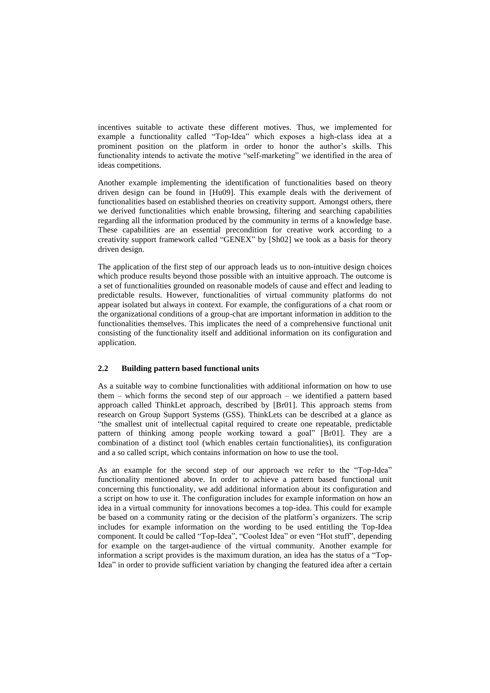incentives suitable to activate these different motives. Thus, we implemented for example a functionality called "Top-Idea" which exposes a high-class idea at a prominent position on the platform in order to honor the author's skills. This functionality intends to activate the motive "self-marketing" we identified in the area of ideas competitions.

Another example implementing the identification of functionalities based on theory driven design can be found in [Hu09]. This example deals with the derivement of functionalities based on established theories on creativity support. Amongst others, there we derived functionalities which enable browsing, filtering and searching capabilities regarding all the information produced by the community in terms of a knowledge base. These capabilities are an essential precondition for creative work according to a creativity support framework called "GENEX" by [Sh02] we took as a basis for theory driven design.

The application of the first step of our approach leads us to non-intuitive design choices which produce results beyond those possible with an intuitive approach. The outcome is a set of functionalities grounded on reasonable models of cause and effect and leading to predictable results. However, functionalities of virtual community platforms do not appear isolated but always in context. For example, the configurations of a chat room or the organizational conditions of a group-chat are important information in addition to the functionalities themselves. This implicates the need of a comprehensive functional unit consisting of the functionality itself and additional information on its configuration and application.

### **2.2 Building pattern based functional units**

As a suitable way to combine functionalities with additional information on how to use them – which forms the second step of our approach – we identified a pattern based approach called ThinkLet approach, described by [Br01]. This approach stems from research on Group Support Systems (GSS). ThinkLets can be described at a glance as "the smallest unit of intellectual capital required to create one repeatable, predictable pattern of thinking among people working toward a goal" [Br01]. They are a combination of a distinct tool (which enables certain functionalities), its configuration and a so called script, which contains information on how to use the tool.

As an example for the second step of our approach we refer to the "Top-Idea" functionality mentioned above. In order to achieve a pattern based functional unit concerning this functionality, we add additional information about its configuration and a script on how to use it. The configuration includes for example information on how an idea in a virtual community for innovations becomes a top-idea. This could for example be based on a community rating or the decision of the platform's organizers. The scrip includes for example information on the wording to be used entitling the Top-Idea component. It could be called "Top-Idea", "Coolest Idea" or even "Hot stuff", depending for example on the target-audience of the virtual community. Another example for information a script provides is the maximum duration, an idea has the status of a "Top-Idea" in order to provide sufficient variation by changing the featured idea after a certain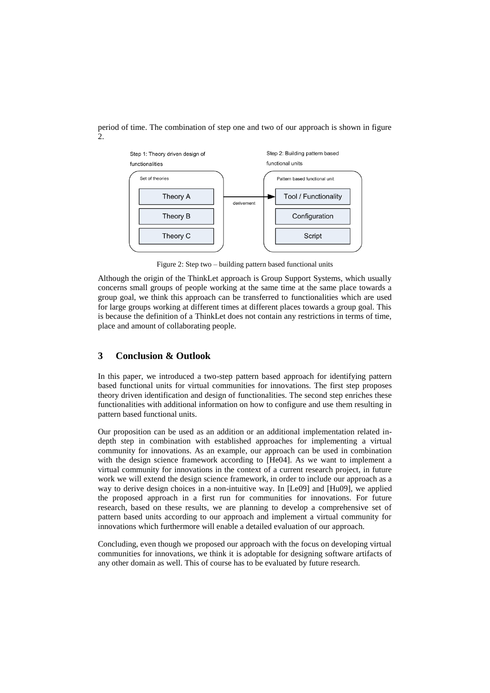period of time. The combination of step one and two of our approach is shown in figure 2.



Figure 2: Step two – building pattern based functional units

Although the origin of the ThinkLet approach is Group Support Systems, which usually concerns small groups of people working at the same time at the same place towards a group goal, we think this approach can be transferred to functionalities which are used for large groups working at different times at different places towards a group goal. This is because the definition of a ThinkLet does not contain any restrictions in terms of time, place and amount of collaborating people.

## **3 Conclusion & Outlook**

In this paper, we introduced a two-step pattern based approach for identifying pattern based functional units for virtual communities for innovations. The first step proposes theory driven identification and design of functionalities. The second step enriches these functionalities with additional information on how to configure and use them resulting in pattern based functional units.

Our proposition can be used as an addition or an additional implementation related indepth step in combination with established approaches for implementing a virtual community for innovations. As an example, our approach can be used in combination with the design science framework according to [He04]. As we want to implement a virtual community for innovations in the context of a current research project, in future work we will extend the design science framework, in order to include our approach as a way to derive design choices in a non-intuitive way. In [Le09] and [Hu09], we applied the proposed approach in a first run for communities for innovations. For future research, based on these results, we are planning to develop a comprehensive set of pattern based units according to our approach and implement a virtual community for innovations which furthermore will enable a detailed evaluation of our approach.

Concluding, even though we proposed our approach with the focus on developing virtual communities for innovations, we think it is adoptable for designing software artifacts of any other domain as well. This of course has to be evaluated by future research.